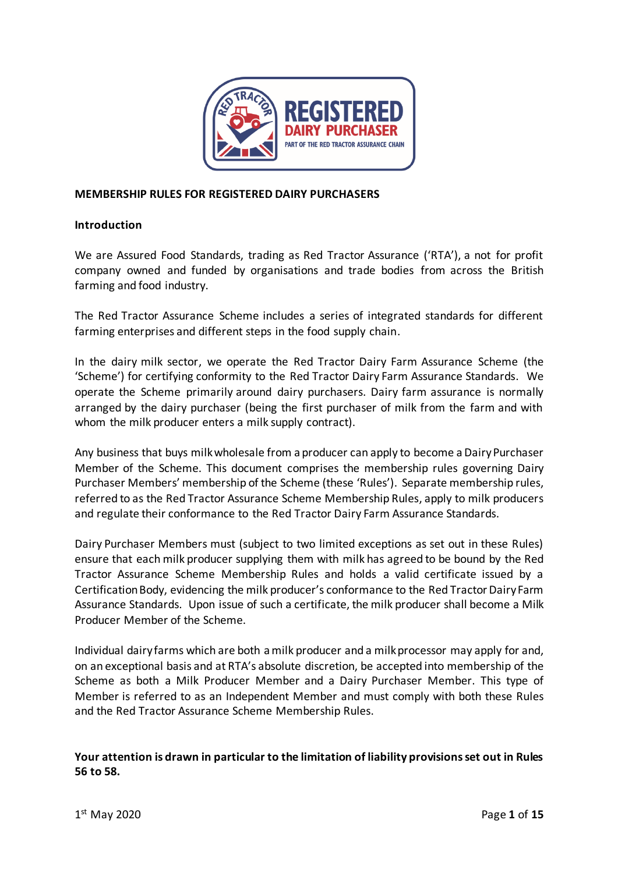

## **MEMBERSHIP RULES FOR REGISTERED DAIRY PURCHASERS**

#### **Introduction**

We are Assured Food Standards, trading as Red Tractor Assurance ('RTA'), a not for profit company owned and funded by organisations and trade bodies from across the British farming and food industry.

The Red Tractor Assurance Scheme includes a series of integrated standards for different farming enterprises and different steps in the food supply chain.

In the dairy milk sector, we operate the Red Tractor Dairy Farm Assurance Scheme (the 'Scheme') for certifying conformity to the Red Tractor Dairy Farm Assurance Standards. We operate the Scheme primarily around dairy purchasers. Dairy farm assurance is normally arranged by the dairy purchaser (being the first purchaser of milk from the farm and with whom the milk producer enters a milk supply contract).

Any business that buys milk wholesale from a producer can apply to become a Dairy Purchaser Member of the Scheme. This document comprises the membership rules governing Dairy Purchaser Members' membership of the Scheme (these 'Rules'). Separate membership rules, referred to as the Red Tractor Assurance Scheme Membership Rules, apply to milk producers and regulate their conformance to the Red Tractor Dairy Farm Assurance Standards.

Dairy Purchaser Members must (subject to two limited exceptions as set out in these Rules) ensure that each milk producer supplying them with milk has agreed to be bound by the Red Tractor Assurance Scheme Membership Rules and holds a valid certificate issued by a Certification Body, evidencing the milk producer's conformance to the Red Tractor Dairy Farm Assurance Standards. Upon issue of such a certificate, the milk producer shall become a Milk Producer Member of the Scheme.

Individual dairy farms which are both a milk producer and a milk processor may apply for and, on an exceptional basis and at RTA's absolute discretion, be accepted into membership of the Scheme as both a Milk Producer Member and a Dairy Purchaser Member. This type of Member is referred to as an Independent Member and must comply with both these Rules and the Red Tractor Assurance Scheme Membership Rules.

# **Your attention is drawn in particular to the limitation of liability provisions set out in Rules [56](#page-12-0) t[o 58.](#page-12-1)**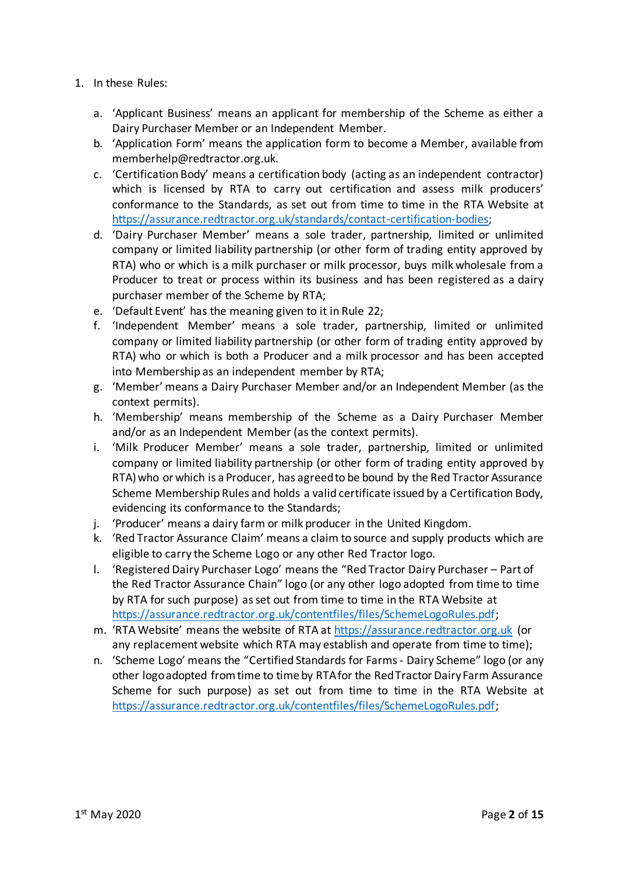- 1. In these Rules:
	- a. 'Applicant Business' means an applicant for membership of the Scheme as either a Dairy Purchaser Member or an Independent Member.
	- b. 'Application Form' means the application form to become a Member, available from memberhelp@redtractor.org.uk.
	- c. 'Certification Body' means a certification body (acting as an independent contractor) which is licensed by RTA to carry out certification and assess milk producers' conformance to the Standards, as set out from time to time in the RTA Website at [https://assurance.redtractor.org.uk/standards/contact-certification-bodies;](https://assurance.redtractor.org.uk/standards/contact-certification-bodies)
	- d. 'Dairy Purchaser Member' means a sole trader, partnership, limited or unlimited company or limited liability partnership (or other form of trading entity approved by RTA) who or which is a milk purchaser or milk processor, buys milk wholesale from a Producer to treat or process within its business and has been registered as a dairy purchaser member of the Scheme by RTA;
	- e. 'Default Event' has the meaning given to it in Rule [22;](#page-6-0)
	- f. 'Independent Member' means a sole trader, partnership, limited or unlimited company or limited liability partnership (or other form of trading entity approved by RTA) who or which is both a Producer and a milk processor and has been accepted into Membership as an independent member by RTA;
	- g. 'Member' means a Dairy Purchaser Member and/or an Independent Member (as the context permits).
	- h. 'Membership' means membership of the Scheme as a Dairy Purchaser Member and/or as an Independent Member (as the context permits).
	- i. 'Milk Producer Member' means a sole trader, partnership, limited or unlimited company or limited liability partnership (or other form of trading entity approved by RTA) who or which is a Producer, has agreed to be bound by the Red Tractor Assurance Scheme Membership Rules and holds a valid certificate issued by a Certification Body, evidencing its conformance to the Standards;
	- j. 'Producer' means a dairy farm or milk producer in the United Kingdom.
	- k. 'Red Tractor Assurance Claim' means a claim to source and supply products which are eligible to carry the Scheme Logo or any other Red Tractor logo.
	- l. 'Registered Dairy Purchaser Logo' means the "Red Tractor Dairy Purchaser Part of the Red Tractor Assurance Chain" logo (or any other logo adopted from time to time by RTA for such purpose) as set out from time to time in the RTA Website at [https://assurance.redtractor.org.uk/contentfiles/files/SchemeLogoRules.pdf;](https://assurance.redtractor.org.uk/contentfiles/files/SchemeLogoRules.pdf)
	- m. 'RTA Website' means the website of RTA a[t https://assurance.redtractor.org.uk](https://assurance.redtractor.org.uk/) (or any replacement website which RTA may establish and operate from time to time);
	- n. 'Scheme Logo' means the "Certified Standards for Farms Dairy Scheme" logo (or any other logo adopted from time to time by RTA for the Red Tractor Dairy Farm Assurance Scheme for such purpose) as set out from time to time in the RTA Website at [https://assurance.redtractor.org.uk/contentfiles/files/SchemeLogoRules.pdf;](https://assurance.redtractor.org.uk/contentfiles/files/SchemeLogoRules.pdf)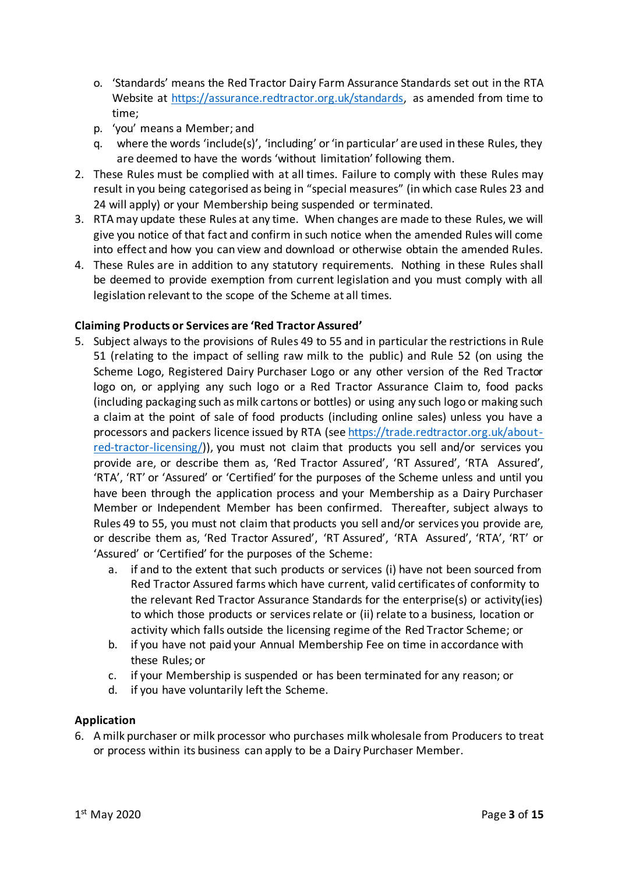- o. 'Standards' means the Red Tractor Dairy Farm Assurance Standards set out in the RTA Website at [https://assurance.redtractor.org.uk/standards,](https://assurance.redtractor.org.uk/standards) as amended from time to time;
- p. 'you' means a Member; and
- q. where the words 'include(s)', 'including' or 'in particular' are used in these Rules, they are deemed to have the words 'without limitation' following them.
- 2. These Rules must be complied with at all times. Failure to comply with these Rules may result in you being categorised as being in "special measures" (in which case Rule[s 23](#page-7-0) and [24](#page-7-1) will apply) or your Membership being suspended or terminated.
- 3. RTA may update these Rules at any time. When changes are made to these Rules, we will give you notice of that fact and confirm in such notice when the amended Rules will come into effect and how you can view and download or otherwise obtain the amended Rules.
- 4. These Rules are in addition to any statutory requirements. Nothing in these Rules shall be deemed to provide exemption from current legislation and you must comply with all legislation relevant to the scope of the Scheme at all times.

# **Claiming Products or Services are 'Red Tractor Assured'**

- 5. Subject always to the provisions of Rules [49](#page-10-0) to [55](#page-11-0) and in particular the restrictions in Rule [51](#page-10-1) (relating to the impact of selling raw milk to the public) and Rule [52](#page-11-1) (on using the Scheme Logo, Registered Dairy Purchaser Logo or any other version of the Red Tractor logo on, or applying any such logo or a Red Tractor Assurance Claim to, food packs (including packaging such as milk cartons or bottles) or using any such logo or making such a claim at the point of sale of food products (including online sales) unless you have a processors and packers licence issued by RTA (see [https://trade.redtractor.org.uk/about](https://trade.redtractor.org.uk/about-red-tractor-licensing/)[red-tractor-licensing/\)](https://trade.redtractor.org.uk/about-red-tractor-licensing/)), you must not claim that products you sell and/or services you provide are, or describe them as, 'Red Tractor Assured', 'RT Assured', 'RTA Assured', 'RTA', 'RT' or 'Assured' or 'Certified' for the purposes of the Scheme unless and until you have been through the application process and your Membership as a Dairy Purchaser Member or Independent Member has been confirmed. Thereafter, subject always to Rule[s 49](#page-10-0) to [55,](#page-11-0) you must not claim that products you sell and/or services you provide are, or describe them as, 'Red Tractor Assured', 'RT Assured', 'RTA Assured', 'RTA', 'RT' or 'Assured' or 'Certified' for the purposes of the Scheme:
	- a. if and to the extent that such products or services (i) have not been sourced from Red Tractor Assured farms which have current, valid certificates of conformity to the relevant Red Tractor Assurance Standards for the enterprise(s) or activity(ies) to which those products or services relate or (ii) relate to a business, location or activity which falls outside the licensing regime of the Red Tractor Scheme; or
	- b. if you have not paid your Annual Membership Fee on time in accordance with these Rules; or
	- c. if your Membership is suspended or has been terminated for any reason; or
	- d. if you have voluntarily left the Scheme.

#### **Application**

6. A milk purchaser or milk processor who purchases milk wholesale from Producers to treat or process within its business can apply to be a Dairy Purchaser Member.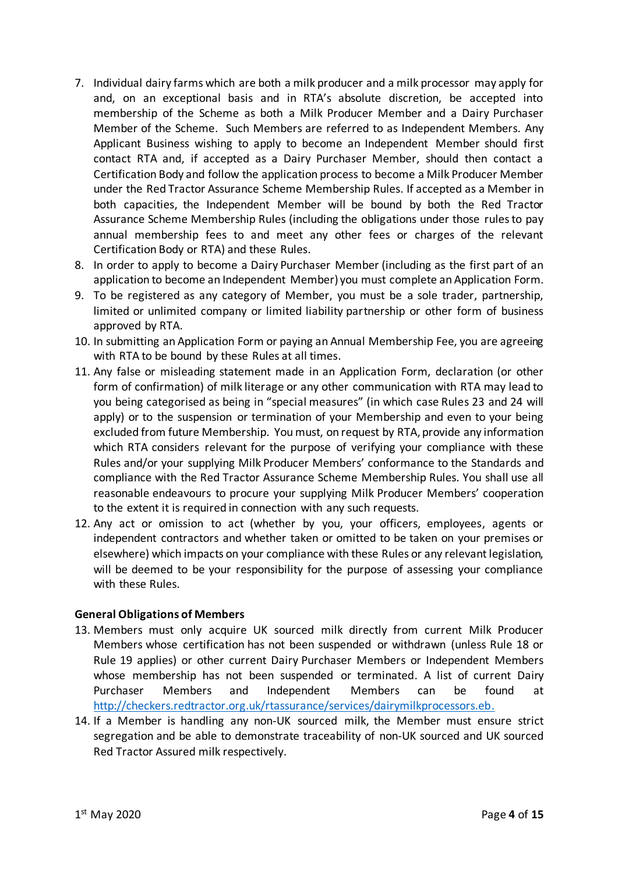- 7. Individual dairy farms which are both a milk producer and a milk processor may apply for and, on an exceptional basis and in RTA's absolute discretion, be accepted into membership of the Scheme as both a Milk Producer Member and a Dairy Purchaser Member of the Scheme. Such Members are referred to as Independent Members. Any Applicant Business wishing to apply to become an Independent Member should first contact RTA and, if accepted as a Dairy Purchaser Member, should then contact a Certification Body and follow the application process to become a Milk Producer Member under the Red Tractor Assurance Scheme Membership Rules. If accepted as a Member in both capacities, the Independent Member will be bound by both the Red Tractor Assurance Scheme Membership Rules (including the obligations under those rules to pay annual membership fees to and meet any other fees or charges of the relevant Certification Body or RTA) and these Rules.
- 8. In order to apply to become a Dairy Purchaser Member (including as the first part of an application to become an Independent Member) you must complete an Application Form.
- 9. To be registered as any category of Member, you must be a sole trader, partnership, limited or unlimited company or limited liability partnership or other form of business approved by RTA.
- 10. In submitting an Application Form or paying an Annual Membership Fee, you are agreeing with RTA to be bound by these Rules at all times.
- 11. Any false or misleading statement made in an Application Form, declaration (or other form of confirmation) of milk literage or any other communication with RTA may lead to you being categorised as being in "special measures" (in which case Rules [23](#page-7-0) an[d 24](#page-7-1) will apply) or to the suspension or termination of your Membership and even to your being excluded from future Membership. You must, on request by RTA, provide any information which RTA considers relevant for the purpose of verifying your compliance with these Rules and/or your supplying Milk Producer Members' conformance to the Standards and compliance with the Red Tractor Assurance Scheme Membership Rules. You shall use all reasonable endeavours to procure your supplying Milk Producer Members' cooperation to the extent it is required in connection with any such requests.
- 12. Any act or omission to act (whether by you, your officers, employees, agents or independent contractors and whether taken or omitted to be taken on your premises or elsewhere) which impacts on your compliance with these Rules or any relevant legislation, will be deemed to be your responsibility for the purpose of assessing your compliance with these Rules.

#### **General Obligations of Members**

- 13. Members must only acquire UK sourced milk directly from current Milk Producer Members whose certification has not been suspended or withdrawn (unless Rule [18](#page-5-0) or Rule [19](#page-6-1) applies) or other current Dairy Purchaser Members or Independent Members whose membership has not been suspended or terminated. A list of current Dairy Purchaser Members and Independent Members can be found at [http://checkers.redtractor.org.uk/rtassurance/services/dairymilkprocessors.eb.](http://checkers.redtractor.org.uk/rtassurance/services/dairymilkprocessors.eb)
- 14. If a Member is handling any non-UK sourced milk, the Member must ensure strict segregation and be able to demonstrate traceability of non-UK sourced and UK sourced Red Tractor Assured milk respectively.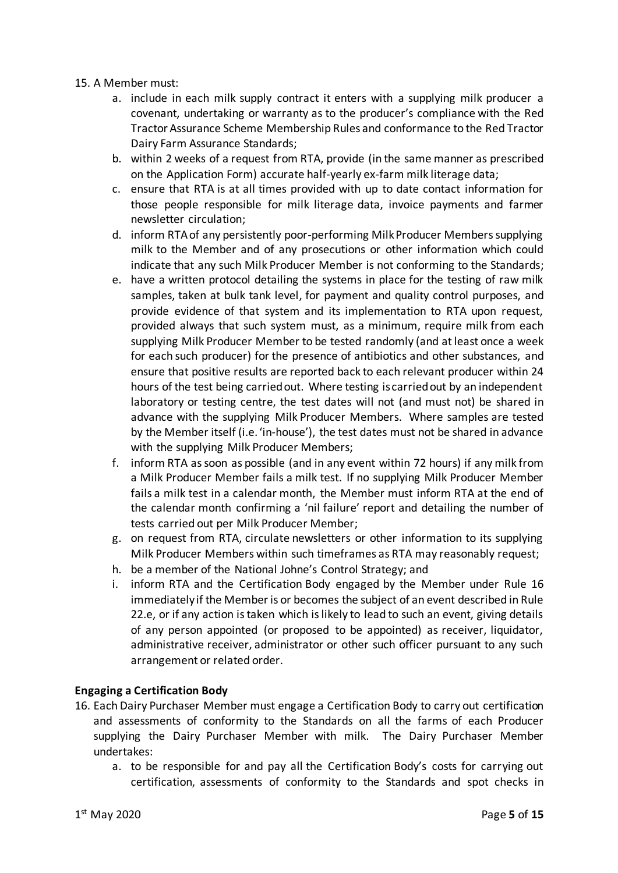#### <span id="page-4-2"></span><span id="page-4-1"></span>15. A Member must:

- a. include in each milk supply contract it enters with a supplying milk producer a covenant, undertaking or warranty as to the producer's compliance with the Red Tractor Assurance Scheme Membership Rules and conformance to the Red Tractor Dairy Farm Assurance Standards;
- b. within 2 weeks of a request from RTA, provide (in the same manner as prescribed on the Application Form) accurate half-yearly ex-farm milk literage data;
- c. ensure that RTA is at all times provided with up to date contact information for those people responsible for milk literage data, invoice payments and farmer newsletter circulation;
- d. inform RTA of any persistently poor-performing Milk Producer Members supplying milk to the Member and of any prosecutions or other information which could indicate that any such Milk Producer Member is not conforming to the Standards;
- e. have a written protocol detailing the systems in place for the testing of raw milk samples, taken at bulk tank level, for payment and quality control purposes, and provide evidence of that system and its implementation to RTA upon request, provided always that such system must, as a minimum, require milk from each supplying Milk Producer Member to be tested randomly (and at least once a week for each such producer) for the presence of antibiotics and other substances, and ensure that positive results are reported back to each relevant producer within 24 hours of the test being carried out. Where testing is carried out by an independent laboratory or testing centre, the test dates will not (and must not) be shared in advance with the supplying Milk Producer Members. Where samples are tested by the Member itself (i.e. 'in-house'), the test dates must not be shared in advance with the supplying Milk Producer Members;
- f. inform RTA as soon as possible (and in any event within 72 hours) if any milk from a Milk Producer Member fails a milk test. If no supplying Milk Producer Member fails a milk test in a calendar month, the Member must inform RTA at the end of the calendar month confirming a 'nil failure' report and detailing the number of tests carried out per Milk Producer Member;
- g. on request from RTA, circulate newsletters or other information to its supplying Milk Producer Members within such timeframes as RTA may reasonably request;
- h. be a member of the National Johne's Control Strategy; and
- i. inform RTA and the Certification Body engaged by the Member under Rule [16](#page-4-0) immediately if the Member is or becomes the subject of an event described in Rule 22.e, or if any action is taken which is likely to lead to such an event, giving details of any person appointed (or proposed to be appointed) as receiver, liquidator, administrative receiver, administrator or other such officer pursuant to any such arrangement or related order.

#### **Engaging a Certification Body**

- <span id="page-4-0"></span>16. Each Dairy Purchaser Member must engage a Certification Body to carry out certification and assessments of conformity to the Standards on all the farms of each Producer supplying the Dairy Purchaser Member with milk. The Dairy Purchaser Member undertakes:
	- a. to be responsible for and pay all the Certification Body's costs for carrying out certification, assessments of conformity to the Standards and spot checks in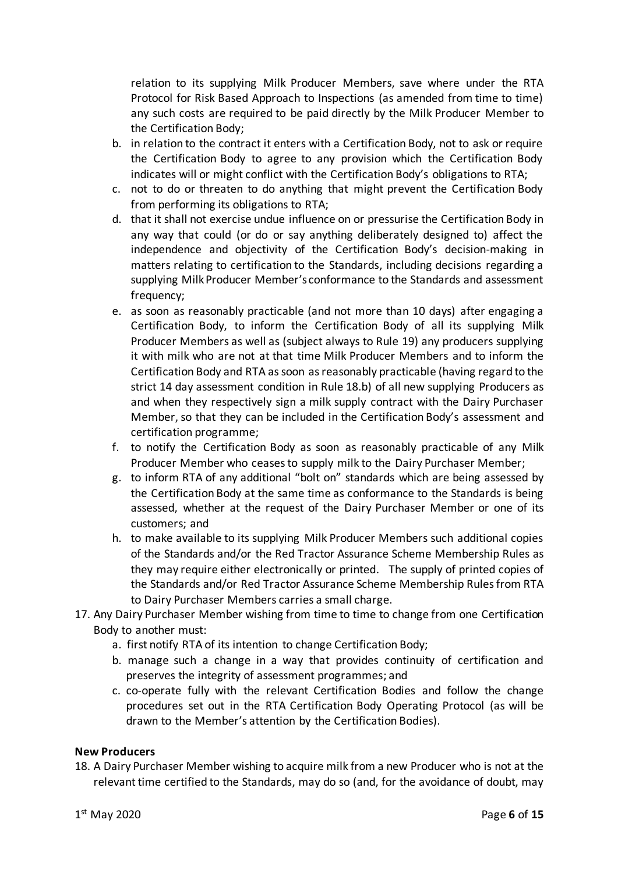relation to its supplying Milk Producer Members, save where under the RTA Protocol for Risk Based Approach to Inspections (as amended from time to time) any such costs are required to be paid directly by the Milk Producer Member to the Certification Body;

- b. in relation to the contract it enters with a Certification Body, not to ask or require the Certification Body to agree to any provision which the Certification Body indicates will or might conflict with the Certification Body's obligations to RTA;
- c. not to do or threaten to do anything that might prevent the Certification Body from performing its obligations to RTA;
- d. that it shall not exercise undue influence on or pressurise the Certification Body in any way that could (or do or say anything deliberately designed to) affect the independence and objectivity of the Certification Body's decision-making in matters relating to certification to the Standards, including decisions regarding a supplying Milk Producer Member's conformance to the Standards and assessment frequency;
- e. as soon as reasonably practicable (and not more than 10 days) after engaging a Certification Body, to inform the Certification Body of all its supplying Milk Producer Members as well as (subject always to Rul[e 19\)](#page-6-1) any producers supplying it with milk who are not at that time Milk Producer Members and to inform the Certification Body and RTA as soon as reasonably practicable (having regard to the strict 14 day assessment condition in Rul[e 18.](#page-5-0)b) of all new supplying Producers as and when they respectively sign a milk supply contract with the Dairy Purchaser Member, so that they can be included in the Certification Body's assessment and certification programme;
- f. to notify the Certification Body as soon as reasonably practicable of any Milk Producer Member who ceases to supply milk to the Dairy Purchaser Member;
- g. to inform RTA of any additional "bolt on" standards which are being assessed by the Certification Body at the same time as conformance to the Standards is being assessed, whether at the request of the Dairy Purchaser Member or one of its customers; and
- h. to make available to its supplying Milk Producer Members such additional copies of the Standards and/or the Red Tractor Assurance Scheme Membership Rules as they may require either electronically or printed. The supply of printed copies of the Standards and/or Red Tractor Assurance Scheme Membership Rules from RTA to Dairy Purchaser Members carries a small charge.
- 17. Any Dairy Purchaser Member wishing from time to time to change from one Certification Body to another must:
	- a. first notify RTA of its intention to change Certification Body;
	- b. manage such a change in a way that provides continuity of certification and preserves the integrity of assessment programmes; and
	- c. co-operate fully with the relevant Certification Bodies and follow the change procedures set out in the RTA Certification Body Operating Protocol (as will be drawn to the Member's attention by the Certification Bodies).

#### **New Producers**

<span id="page-5-0"></span>18. A Dairy Purchaser Member wishing to acquire milk from a new Producer who is not at the relevant time certified to the Standards, may do so (and, for the avoidance of doubt, may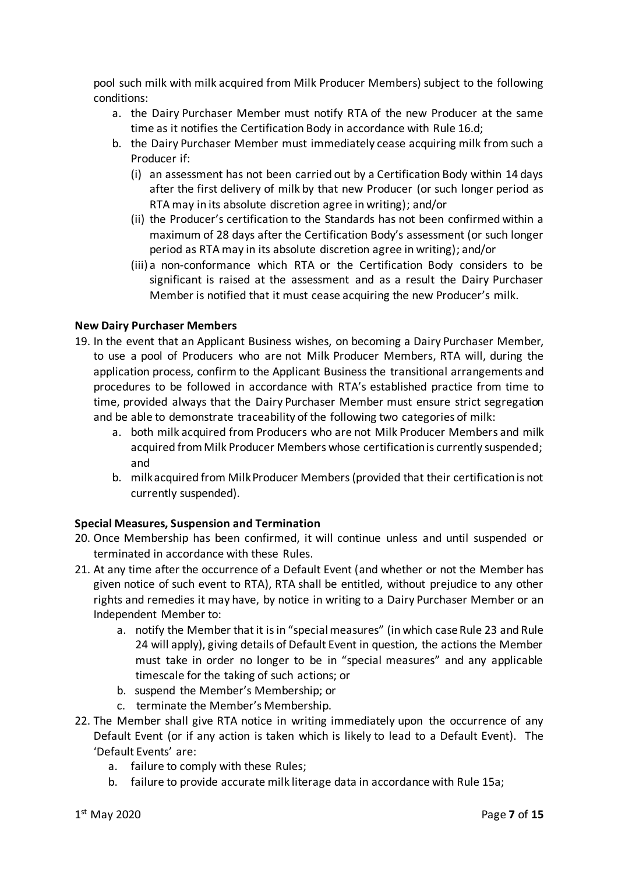pool such milk with milk acquired from Milk Producer Members) subject to the following conditions:

- a. the Dairy Purchaser Member must notify RTA of the new Producer at the same time as it notifies the Certification Body in accordance with Rule 16.d;
- b. the Dairy Purchaser Member must immediately cease acquiring milk from such a Producer if:
	- (i) an assessment has not been carried out by a Certification Body within 14 days after the first delivery of milk by that new Producer (or such longer period as RTA may in its absolute discretion agree in writing); and/or
	- (ii) the Producer's certification to the Standards has not been confirmed within a maximum of 28 days after the Certification Body's assessment (or such longer period as RTA may in its absolute discretion agree in writing); and/or
	- (iii) a non-conformance which RTA or the Certification Body considers to be significant is raised at the assessment and as a result the Dairy Purchaser Member is notified that it must cease acquiring the new Producer's milk.

#### **New Dairy Purchaser Members**

- <span id="page-6-1"></span>19. In the event that an Applicant Business wishes, on becoming a Dairy Purchaser Member, to use a pool of Producers who are not Milk Producer Members, RTA will, during the application process, confirm to the Applicant Business the transitional arrangements and procedures to be followed in accordance with RTA's established practice from time to time, provided always that the Dairy Purchaser Member must ensure strict segregation and be able to demonstrate traceability of the following two categories of milk:
	- a. both milk acquired from Producers who are not Milk Producer Members and milk acquired from Milk Producer Members whose certification is currently suspended; and
	- b. milk acquired from Milk Producer Members(provided that their certification is not currently suspended).

# **Special Measures, Suspension and Termination**

- 20. Once Membership has been confirmed, it will continue unless and until suspended or terminated in accordance with these Rules.
- <span id="page-6-4"></span>21. At any time after the occurrence of a Default Event (and whether or not the Member has given notice of such event to RTA), RTA shall be entitled, without prejudice to any other rights and remedies it may have, by notice in writing to a Dairy Purchaser Member or an Independent Member to:
	- a. notify the Member that it is in "special measures" (in which case Rul[e 23](#page-7-0) and Rule [24](#page-7-1) will apply), giving details of Default Event in question, the actions the Member must take in order no longer to be in "special measures" and any applicable timescale for the taking of such actions; or
	- b. suspend the Member's Membership; or
	- c. terminate the Member's Membership.
- <span id="page-6-3"></span><span id="page-6-2"></span><span id="page-6-0"></span>22. The Member shall give RTA notice in writing immediately upon the occurrence of any Default Event (or if any action is taken which is likely to lead to a Default Event). The 'Default Events' are:
	- a. failure to comply with these Rules;
	- b. failure to provide accurate milk literage data in accordance with Rule [15](#page-4-1)[a;](#page-4-2)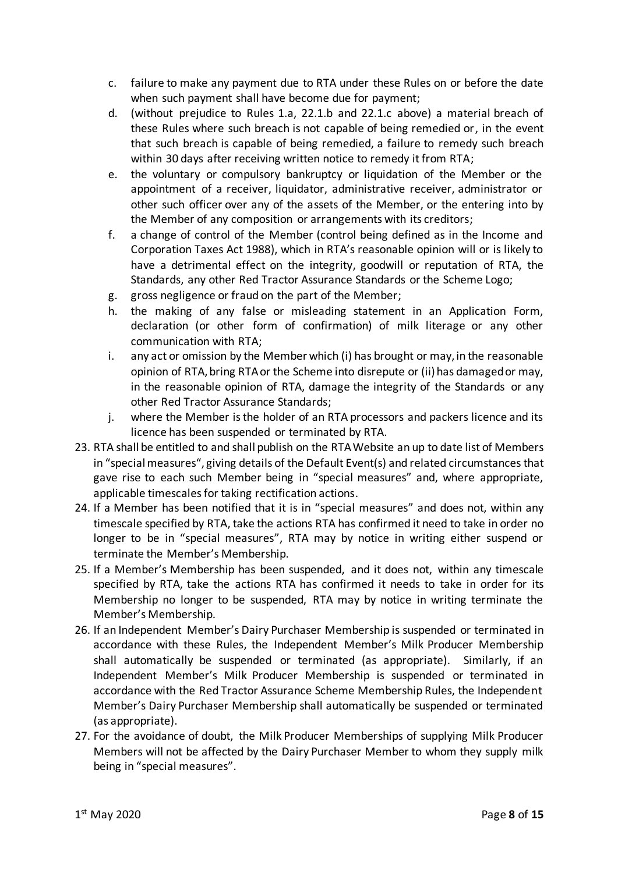- <span id="page-7-2"></span>c. failure to make any payment due to RTA under these Rules on or before the date when such payment shall have become due for payment;
- d. (without prejudice to Rules [1.a,](#page-6-2) [22](#page-6-0)[.1.b](#page-6-3) and [22.](#page-6-0)[1.c](#page-7-2) above) a material breach of these Rules where such breach is not capable of being remedied or, in the event that such breach is capable of being remedied, a failure to remedy such breach within 30 days after receiving written notice to remedy it from RTA;
- e. the voluntary or compulsory bankruptcy or liquidation of the Member or the appointment of a receiver, liquidator, administrative receiver, administrator or other such officer over any of the assets of the Member, or the entering into by the Member of any composition or arrangements with its creditors;
- f. a change of control of the Member (control being defined as in the Income and Corporation Taxes Act 1988), which in RTA's reasonable opinion will or is likely to have a detrimental effect on the integrity, goodwill or reputation of RTA, the Standards, any other Red Tractor Assurance Standards or the Scheme Logo;
- g. gross negligence or fraud on the part of the Member;
- h. the making of any false or misleading statement in an Application Form, declaration (or other form of confirmation) of milk literage or any other communication with RTA;
- i. any act or omission by the Member which (i) has brought or may, in the reasonable opinion of RTA, bring RTA or the Scheme into disrepute or (ii) has damaged or may, in the reasonable opinion of RTA, damage the integrity of the Standards or any other Red Tractor Assurance Standards;
- j. where the Member is the holder of an RTA processors and packers licence and its licence has been suspended or terminated by RTA.
- <span id="page-7-0"></span>23. RTA shall be entitled to and shall publish on the RTA Website an up to date list of Members in "special measures", giving details of the Default Event(s) and related circumstancesthat gave rise to each such Member being in "special measures" and, where appropriate, applicable timescales for taking rectification actions.
- <span id="page-7-1"></span>24. If a Member has been notified that it is in "special measures" and does not, within any timescale specified by RTA, take the actions RTA has confirmed it need to take in order no longer to be in "special measures", RTA may by notice in writing either suspend or terminate the Member's Membership.
- 25. If a Member's Membership has been suspended, and it does not, within any timescale specified by RTA, take the actions RTA has confirmed it needs to take in order for its Membership no longer to be suspended, RTA may by notice in writing terminate the Member's Membership.
- 26. If an Independent Member's Dairy Purchaser Membership is suspended or terminated in accordance with these Rules, the Independent Member's Milk Producer Membership shall automatically be suspended or terminated (as appropriate). Similarly, if an Independent Member's Milk Producer Membership is suspended or terminated in accordance with the Red Tractor Assurance Scheme Membership Rules, the Independent Member's Dairy Purchaser Membership shall automatically be suspended or terminated (as appropriate).
- 27. For the avoidance of doubt, the Milk Producer Memberships of supplying Milk Producer Members will not be affected by the Dairy Purchaser Member to whom they supply milk being in "special measures".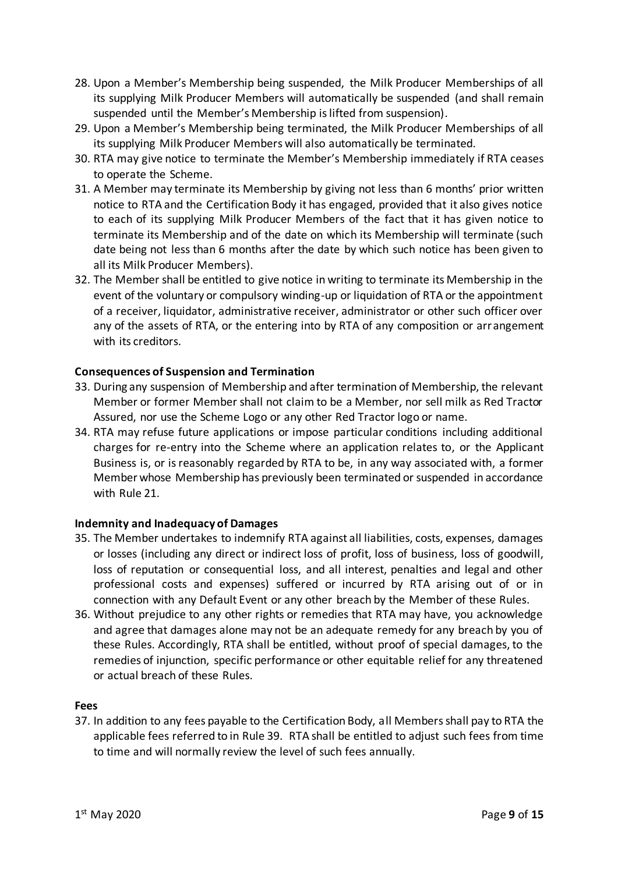- <span id="page-8-0"></span>28. Upon a Member's Membership being suspended, the Milk Producer Memberships of all its supplying Milk Producer Members will automatically be suspended (and shall remain suspended until the Member's Membership is lifted from suspension).
- <span id="page-8-1"></span>29. Upon a Member's Membership being terminated, the Milk Producer Memberships of all its supplying Milk Producer Members will also automatically be terminated.
- 30. RTA may give notice to terminate the Member's Membership immediately if RTA ceases to operate the Scheme.
- 31. A Member may terminate its Membership by giving not less than 6 months' prior written notice to RTA and the Certification Body it has engaged, provided that it also gives notice to each of its supplying Milk Producer Members of the fact that it has given notice to terminate its Membership and of the date on which its Membership will terminate (such date being not less than 6 months after the date by which such notice has been given to all its Milk Producer Members).
- 32. The Member shall be entitled to give notice in writing to terminate its Membership in the event of the voluntary or compulsory winding-up or liquidation of RTA or the appointment of a receiver, liquidator, administrative receiver, administrator or other such officer over any of the assets of RTA, or the entering into by RTA of any composition or arrangement with its creditors.

## **Consequences of Suspension and Termination**

- 33. During any suspension of Membership and after termination of Membership, the relevant Member or former Member shall not claim to be a Member, nor sell milk as Red Tractor Assured, nor use the Scheme Logo or any other Red Tractor logo or name.
- 34. RTA may refuse future applications or impose particular conditions including additional charges for re-entry into the Scheme where an application relates to, or the Applicant Business is, or is reasonably regarded by RTA to be, in any way associated with, a former Member whose Membership has previously been terminated or suspended in accordance with Rul[e 21.](#page-6-4)

#### **Indemnity and Inadequacy of Damages**

- 35. The Member undertakes to indemnify RTA against all liabilities, costs, expenses, damages or losses (including any direct or indirect loss of profit, loss of business, loss of goodwill, loss of reputation or consequential loss, and all interest, penalties and legal and other professional costs and expenses) suffered or incurred by RTA arising out of or in connection with any Default Event or any other breach by the Member of these Rules.
- 36. Without prejudice to any other rights or remedies that RTA may have, you acknowledge and agree that damages alone may not be an adequate remedy for any breach by you of these Rules. Accordingly, RTA shall be entitled, without proof of special damages, to the remedies of injunction, specific performance or other equitable relief for any threatened or actual breach of these Rules.

#### **Fees**

37. In addition to any fees payable to the Certification Body, all Members shall pay to RTA the applicable fees referred to in Rul[e 39.](#page-9-0) RTA shall be entitled to adjust such fees from time to time and will normally review the level of such fees annually.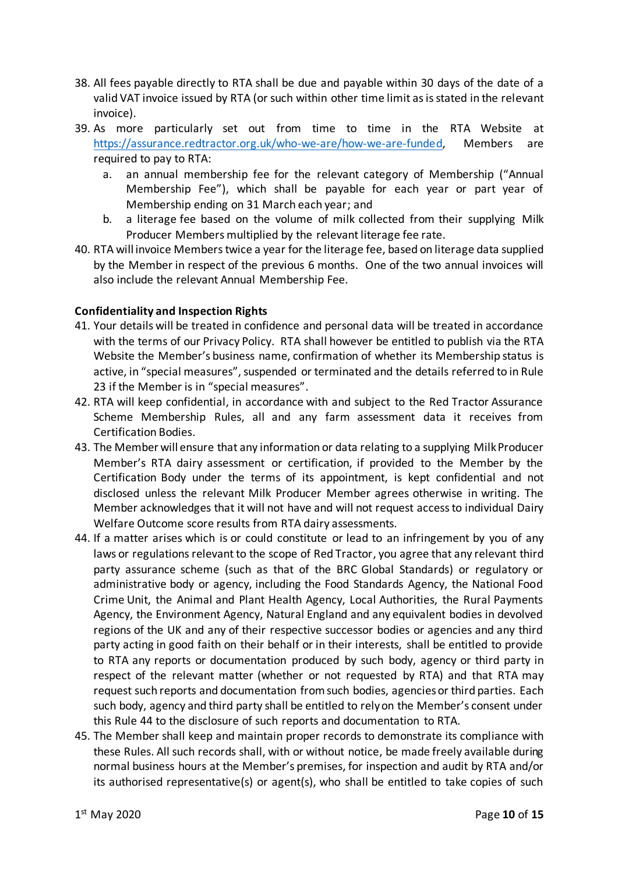- 38. All fees payable directly to RTA shall be due and payable within 30 days of the date of a valid VAT invoice issued by RTA (or such within other time limit as is stated in the relevant invoice).
- <span id="page-9-0"></span>39. As more particularly set out from time to time in the RTA Website at [https://assurance.redtractor.org.uk/who-we-are/how-we-are-funded,](https://assurance.redtractor.org.uk/who-we-are/how-we-are-funded) Members are required to pay to RTA:
	- a. an annual membership fee for the relevant category of Membership ("Annual Membership Fee"), which shall be payable for each year or part year of Membership ending on 31 March each year; and
	- b. a literage fee based on the volume of milk collected from their supplying Milk Producer Members multiplied by the relevant literage fee rate.
- 40. RTA will invoice Members twice a year for the literage fee, based on literage data supplied by the Member in respect of the previous 6 months. One of the two annual invoices will also include the relevant Annual Membership Fee.

## **Confidentiality and Inspection Rights**

- <span id="page-9-2"></span>41. Your details will be treated in confidence and personal data will be treated in accordance with the terms of our Privacy Policy. RTA shall however be entitled to publish via the RTA Website the Member's business name, confirmation of whether its Membership status is active, in "special measures", suspended or terminated and the details referred to in Rule [23](#page-7-0) if the Member is in "special measures".
- 42. RTA will keep confidential, in accordance with and subject to the Red Tractor Assurance Scheme Membership Rules, all and any farm assessment data it receives from Certification Bodies.
- 43. The Member will ensure that any information or data relating to a supplying Milk Producer Member's RTA dairy assessment or certification, if provided to the Member by the Certification Body under the terms of its appointment, is kept confidential and not disclosed unless the relevant Milk Producer Member agrees otherwise in writing. The Member acknowledges that it will not have and will not request access to individual Dairy Welfare Outcome score results from RTA dairy assessments.
- <span id="page-9-1"></span>44. If a matter arises which is or could constitute or lead to an infringement by you of any laws or regulations relevant to the scope of Red Tractor, you agree that any relevant third party assurance scheme (such as that of the BRC Global Standards) or regulatory or administrative body or agency, including the Food Standards Agency, the National Food Crime Unit, the Animal and Plant Health Agency, Local Authorities, the Rural Payments Agency, the Environment Agency, Natural England and any equivalent bodies in devolved regions of the UK and any of their respective successor bodies or agencies and any third party acting in good faith on their behalf or in their interests, shall be entitled to provide to RTA any reports or documentation produced by such body, agency or third party in respect of the relevant matter (whether or not requested by RTA) and that RTA may request such reports and documentation from such bodies, agenciesor third parties. Each such body, agency and third party shall be entitled to rely on the Member's consent under this Rul[e 44](#page-9-1) to the disclosure of such reports and documentation to RTA.
- 45. The Member shall keep and maintain proper records to demonstrate its compliance with these Rules. All such records shall, with or without notice, be made freely available during normal business hours at the Member's premises, for inspection and audit by RTA and/or its authorised representative(s) or agent(s), who shall be entitled to take copies of such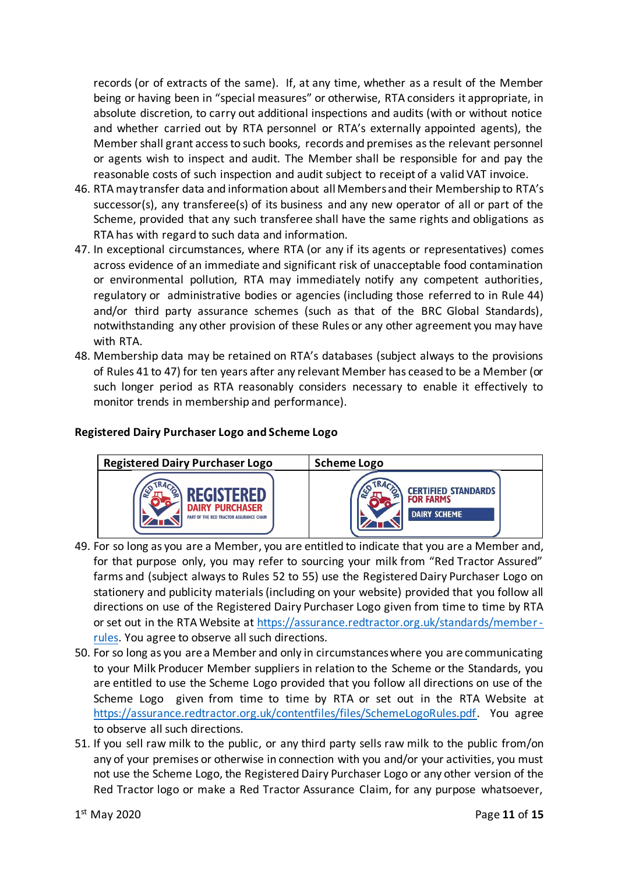records (or of extracts of the same). If, at any time, whether as a result of the Member being or having been in "special measures" or otherwise, RTA considers it appropriate, in absolute discretion, to carry out additional inspections and audits (with or without notice and whether carried out by RTA personnel or RTA's externally appointed agents), the Member shall grant access to such books, records and premises as the relevant personnel or agents wish to inspect and audit. The Member shall be responsible for and pay the reasonable costs of such inspection and audit subject to receipt of a valid VAT invoice.

- 46. RTA may transfer data and information about all Membersand their Membership to RTA's successor(s), any transferee(s) of its business and any new operator of all or part of the Scheme, provided that any such transferee shall have the same rights and obligations as RTA has with regard to such data and information.
- <span id="page-10-2"></span>47. In exceptional circumstances, where RTA (or any if its agents or representatives) comes across evidence of an immediate and significant risk of unacceptable food contamination or environmental pollution, RTA may immediately notify any competent authorities, regulatory or administrative bodies or agencies (including those referred to in Rule [44\)](#page-9-1) and/or third party assurance schemes (such as that of the BRC Global Standards), notwithstanding any other provision of these Rules or any other agreement you may have with RTA.
- 48. Membership data may be retained on RTA's databases (subject always to the provisions of Rule[s 41](#page-9-2) to [47\)](#page-10-2) for ten years after any relevant Member has ceased to be a Member (or such longer period as RTA reasonably considers necessary to enable it effectively to monitor trends in membership and performance).

### **Registered Dairy Purchaser Logo and Scheme Logo**



- <span id="page-10-0"></span>49. For so long as you are a Member, you are entitled to indicate that you are a Member and, for that purpose only, you may refer to sourcing your milk from "Red Tractor Assured" farms and (subject always to Rules [52](#page-11-1) to [55\)](#page-11-0) use the Registered Dairy Purchaser Logo on stationery and publicity materials (including on your website) provided that you follow all directions on use of the Registered Dairy Purchaser Logo given from time to time by RTA or set out in the RTA Website at [https://assurance.redtractor.org.uk/standards/member](https://assurance.redtractor.org.uk/standards/member-rules)[rules.](https://assurance.redtractor.org.uk/standards/member-rules) You agree to observe all such directions.
- <span id="page-10-3"></span>50. For so long as you are a Member and only in circumstances where you are communicating to your Milk Producer Member suppliers in relation to the Scheme or the Standards, you are entitled to use the Scheme Logo provided that you follow all directions on use of the Scheme Logo given from time to time by RTA or set out in the RTA Website at [https://assurance.redtractor.org.uk/contentfiles/files/SchemeLogoRules.pdf.](https://assurance.redtractor.org.uk/contentfiles/files/SchemeLogoRules.pdf) You agree to observe all such directions.
- <span id="page-10-1"></span>51. If you sell raw milk to the public, or any third party sells raw milk to the public from/on any of your premises or otherwise in connection with you and/or your activities, you must not use the Scheme Logo, the Registered Dairy Purchaser Logo or any other version of the Red Tractor logo or make a Red Tractor Assurance Claim, for any purpose whatsoever,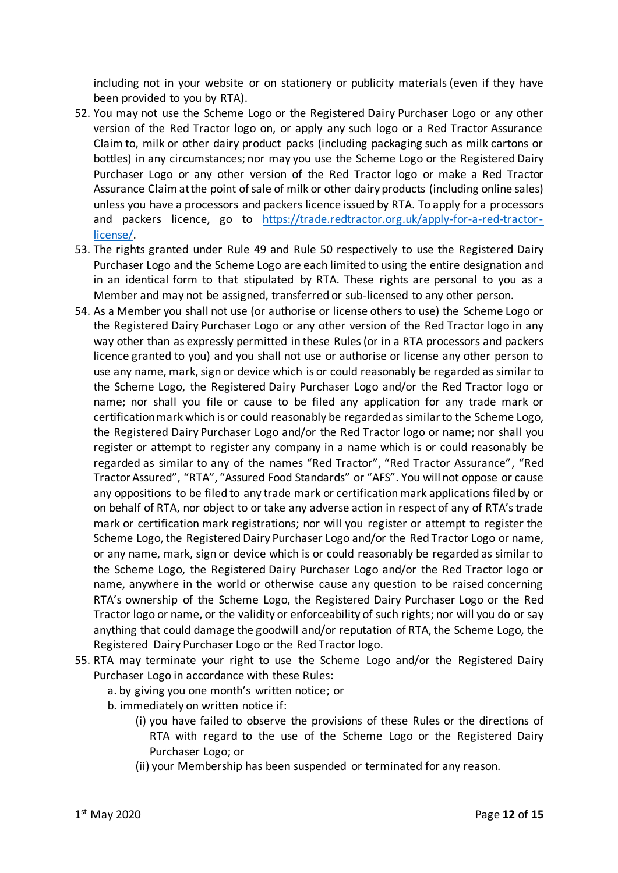including not in your website or on stationery or publicity materials (even if they have been provided to you by RTA).

- <span id="page-11-1"></span>52. You may not use the Scheme Logo or the Registered Dairy Purchaser Logo or any other version of the Red Tractor logo on, or apply any such logo or a Red Tractor Assurance Claim to, milk or other dairy product packs (including packaging such as milk cartons or bottles) in any circumstances; nor may you use the Scheme Logo or the Registered Dairy Purchaser Logo or any other version of the Red Tractor logo or make a Red Tractor Assurance Claim at the point of sale of milk or other dairy products (including online sales) unless you have a processors and packers licence issued by RTA. To apply for a processors and packers licence, go to [https://trade.redtractor.org.uk/apply-for-a-red-tractor](https://trade.redtractor.org.uk/apply-for-a-red-tractor-license/)[license/.](https://trade.redtractor.org.uk/apply-for-a-red-tractor-license/)
- 53. The rights granted under Rule [49](#page-10-0) and Rule [50](#page-10-3) respectively to use the Registered Dairy Purchaser Logo and the Scheme Logo are each limited to using the entire designation and in an identical form to that stipulated by RTA. These rights are personal to you as a Member and may not be assigned, transferred or sub-licensed to any other person.
- 54. As a Member you shall not use (or authorise or license others to use) the Scheme Logo or the Registered Dairy Purchaser Logo or any other version of the Red Tractor logo in any way other than as expressly permitted in these Rules (or in a RTA processors and packers licence granted to you) and you shall not use or authorise or license any other person to use any name, mark, sign or device which is or could reasonably be regarded as similar to the Scheme Logo, the Registered Dairy Purchaser Logo and/or the Red Tractor logo or name; nor shall you file or cause to be filed any application for any trade mark or certification mark which is or could reasonably be regarded as similar to the Scheme Logo, the Registered Dairy Purchaser Logo and/or the Red Tractor logo or name; nor shall you register or attempt to register any company in a name which is or could reasonably be regarded as similar to any of the names "Red Tractor", "Red Tractor Assurance", "Red Tractor Assured", "RTA", "Assured Food Standards" or "AFS". You will not oppose or cause any oppositions to be filed to any trade mark or certification mark applications filed by or on behalf of RTA, nor object to or take any adverse action in respect of any of RTA's trade mark or certification mark registrations; nor will you register or attempt to register the Scheme Logo, the Registered Dairy Purchaser Logo and/or the Red Tractor Logo or name, or any name, mark, sign or device which is or could reasonably be regarded as similar to the Scheme Logo, the Registered Dairy Purchaser Logo and/or the Red Tractor logo or name, anywhere in the world or otherwise cause any question to be raised concerning RTA's ownership of the Scheme Logo, the Registered Dairy Purchaser Logo or the Red Tractor logo or name, or the validity or enforceability of such rights; nor will you do or say anything that could damage the goodwill and/or reputation of RTA, the Scheme Logo, the Registered Dairy Purchaser Logo or the Red Tractor logo.
- <span id="page-11-0"></span>55. RTA may terminate your right to use the Scheme Logo and/or the Registered Dairy Purchaser Logo in accordance with these Rules:
	- a. by giving you one month's written notice; or
	- b. immediately on written notice if:
		- (i) you have failed to observe the provisions of these Rules or the directions of RTA with regard to the use of the Scheme Logo or the Registered Dairy Purchaser Logo; or
		- (ii) your Membership has been suspended or terminated for any reason.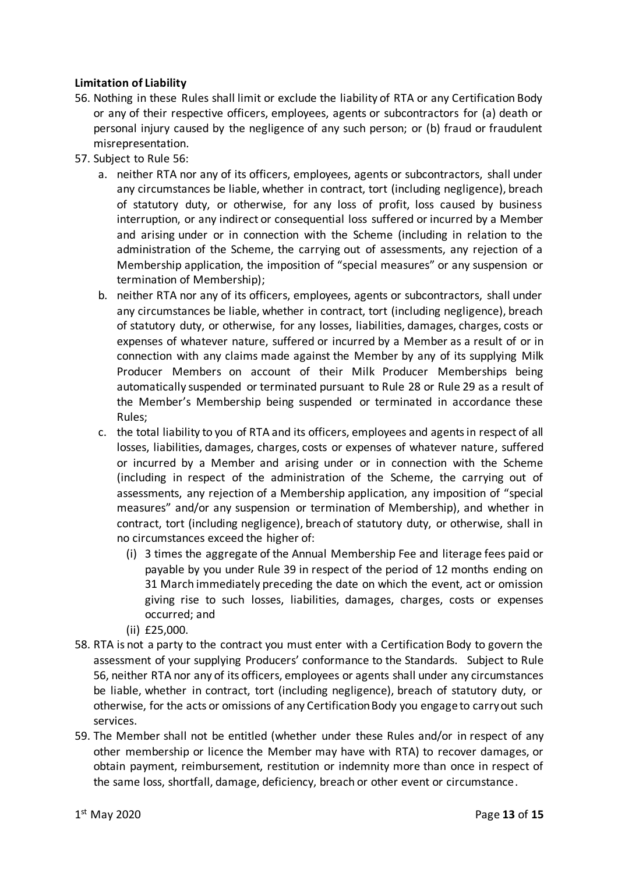# **Limitation of Liability**

- <span id="page-12-0"></span>56. Nothing in these Rules shall limit or exclude the liability of RTA or any Certification Body or any of their respective officers, employees, agents or subcontractors for (a) death or personal injury caused by the negligence of any such person; or (b) fraud or fraudulent misrepresentation.
- 57. Subject to Rule [56:](#page-12-0)
	- a. neither RTA nor any of its officers, employees, agents or subcontractors, shall under any circumstances be liable, whether in contract, tort (including negligence), breach of statutory duty, or otherwise, for any loss of profit, loss caused by business interruption, or any indirect or consequential loss suffered or incurred by a Member and arising under or in connection with the Scheme (including in relation to the administration of the Scheme, the carrying out of assessments, any rejection of a Membership application, the imposition of "special measures" or any suspension or termination of Membership);
	- b. neither RTA nor any of its officers, employees, agents or subcontractors, shall under any circumstances be liable, whether in contract, tort (including negligence), breach of statutory duty, or otherwise, for any losses, liabilities, damages, charges, costs or expenses of whatever nature, suffered or incurred by a Member as a result of or in connection with any claims made against the Member by any of its supplying Milk Producer Members on account of their Milk Producer Memberships being automatically suspended or terminated pursuant to Rule [28](#page-8-0) or Rul[e 29](#page-8-1) as a result of the Member's Membership being suspended or terminated in accordance these Rules;
	- c. the total liability to you of RTA and its officers, employees and agents in respect of all losses, liabilities, damages, charges, costs or expenses of whatever nature, suffered or incurred by a Member and arising under or in connection with the Scheme (including in respect of the administration of the Scheme, the carrying out of assessments, any rejection of a Membership application, any imposition of "special measures" and/or any suspension or termination of Membership), and whether in contract, tort (including negligence), breach of statutory duty, or otherwise, shall in no circumstances exceed the higher of:
		- (i) 3 times the aggregate of the Annual Membership Fee and literage fees paid or payable by you under Rule [39](#page-9-0) in respect of the period of 12 months ending on 31 March immediately preceding the date on which the event, act or omission giving rise to such losses, liabilities, damages, charges, costs or expenses occurred; and
		- (ii) £25,000.
- <span id="page-12-1"></span>58. RTA is not a party to the contract you must enter with a Certification Body to govern the assessment of your supplying Producers' conformance to the Standards. Subject to Rule [56,](#page-12-0) neither RTA nor any of its officers, employees or agents shall under any circumstances be liable, whether in contract, tort (including negligence), breach of statutory duty, or otherwise, for the acts or omissions of any Certification Body you engage to carry out such services.
- 59. The Member shall not be entitled (whether under these Rules and/or in respect of any other membership or licence the Member may have with RTA) to recover damages, or obtain payment, reimbursement, restitution or indemnity more than once in respect of the same loss, shortfall, damage, deficiency, breach or other event or circumstance.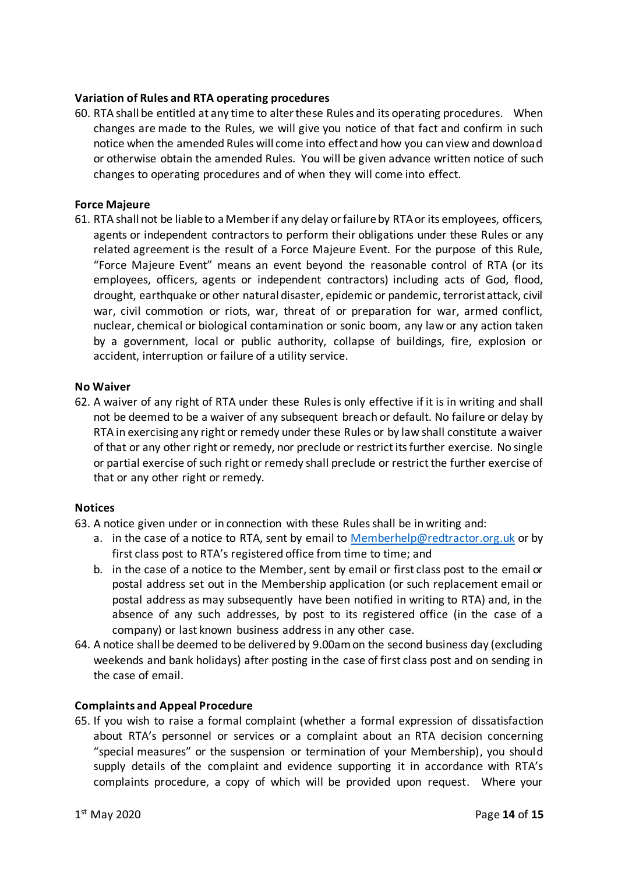### **Variation of Rules and RTA operating procedures**

60. RTA shall be entitled at any time to alter these Rules and its operating procedures. When changes are made to the Rules, we will give you notice of that fact and confirm in such notice when the amended Rules will come into effect and how you can view and download or otherwise obtain the amended Rules. You will be given advance written notice of such changes to operating procedures and of when they will come into effect.

#### **Force Majeure**

61. RTA shall not be liable to a Member if any delay or failure by RTA or its employees, officers, agents or independent contractors to perform their obligations under these Rules or any related agreement is the result of a Force Majeure Event. For the purpose of this Rule, "Force Majeure Event" means an event beyond the reasonable control of RTA (or its employees, officers, agents or independent contractors) including acts of God, flood, drought, earthquake or other natural disaster, epidemic or pandemic, terrorist attack, civil war, civil commotion or riots, war, threat of or preparation for war, armed conflict, nuclear, chemical or biological contamination or sonic boom, any law or any action taken by a government, local or public authority, collapse of buildings, fire, explosion or accident, interruption or failure of a utility service.

#### **No Waiver**

62. A waiver of any right of RTA under these Rules is only effective if it is in writing and shall not be deemed to be a waiver of any subsequent breach or default. No failure or delay by RTA in exercising any right or remedy under these Rules or by law shall constitute a waiver of that or any other right or remedy, nor preclude or restrict its further exercise. No single or partial exercise of such right or remedy shall preclude or restrict the further exercise of that or any other right or remedy.

#### **Notices**

- 63. A notice given under or in connection with these Rules shall be in writing and:
	- a. in the case of a notice to RTA, sent by email to [Memberhelp@redtractor.org.uk](mailto:Memberhelp@redtractor.org.uk) or by first class post to RTA's registered office from time to time; and
	- b. in the case of a notice to the Member, sent by email or first class post to the email or postal address set out in the Membership application (or such replacement email or postal address as may subsequently have been notified in writing to RTA) and, in the absence of any such addresses, by post to its registered office (in the case of a company) or last known business address in any other case.
- 64. A notice shall be deemed to be delivered by 9.00am on the second business day (excluding weekends and bank holidays) after posting in the case of first class post and on sending in the case of email.

#### **Complaints and Appeal Procedure**

65. If you wish to raise a formal complaint (whether a formal expression of dissatisfaction about RTA's personnel or services or a complaint about an RTA decision concerning "special measures" or the suspension or termination of your Membership), you should supply details of the complaint and evidence supporting it in accordance with RTA's complaints procedure, a copy of which will be provided upon request. Where your